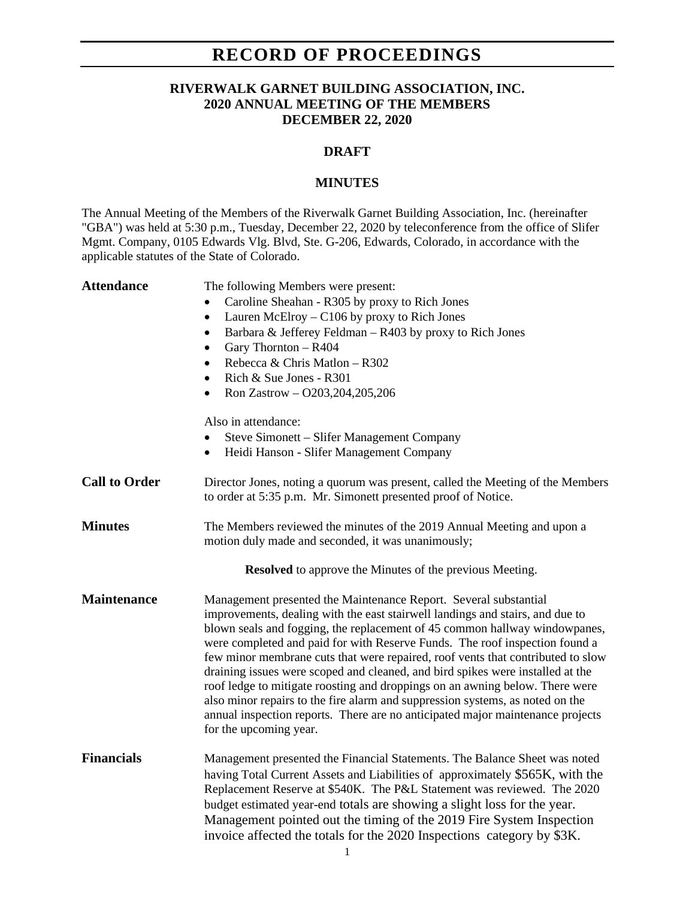## **RECORD OF PROCEEDINGS**

### **RIVERWALK GARNET BUILDING ASSOCIATION, INC. 2020 ANNUAL MEETING OF THE MEMBERS DECEMBER 22, 2020**

#### **DRAFT**

#### **MINUTES**

The Annual Meeting of the Members of the Riverwalk Garnet Building Association, Inc. (hereinafter "GBA") was held at 5:30 p.m., Tuesday, December 22, 2020 by teleconference from the office of Slifer Mgmt. Company, 0105 Edwards Vlg. Blvd, Ste. G-206, Edwards, Colorado, in accordance with the applicable statutes of the State of Colorado.

| <b>Attendance</b>    | The following Members were present:<br>Caroline Sheahan - R305 by proxy to Rich Jones<br>Lauren McElroy - C106 by proxy to Rich Jones<br>$\bullet$<br>Barbara & Jefferey Feldman - R403 by proxy to Rich Jones<br>$\bullet$<br>Gary Thornton - R404<br>$\bullet$<br>Rebecca & Chris Matlon - R302<br>$\bullet$<br>Rich & Sue Jones - R301<br>$\bullet$<br>Ron Zastrow - O203, 204, 205, 206<br>$\bullet$<br>Also in attendance:                                                                                                                                                                                                                                                                                                                                  |
|----------------------|------------------------------------------------------------------------------------------------------------------------------------------------------------------------------------------------------------------------------------------------------------------------------------------------------------------------------------------------------------------------------------------------------------------------------------------------------------------------------------------------------------------------------------------------------------------------------------------------------------------------------------------------------------------------------------------------------------------------------------------------------------------|
|                      | Steve Simonett – Slifer Management Company<br>Heidi Hanson - Slifer Management Company<br>٠                                                                                                                                                                                                                                                                                                                                                                                                                                                                                                                                                                                                                                                                      |
| <b>Call to Order</b> | Director Jones, noting a quorum was present, called the Meeting of the Members<br>to order at 5:35 p.m. Mr. Simonett presented proof of Notice.                                                                                                                                                                                                                                                                                                                                                                                                                                                                                                                                                                                                                  |
| <b>Minutes</b>       | The Members reviewed the minutes of the 2019 Annual Meeting and upon a<br>motion duly made and seconded, it was unanimously;                                                                                                                                                                                                                                                                                                                                                                                                                                                                                                                                                                                                                                     |
|                      | <b>Resolved</b> to approve the Minutes of the previous Meeting.                                                                                                                                                                                                                                                                                                                                                                                                                                                                                                                                                                                                                                                                                                  |
| <b>Maintenance</b>   | Management presented the Maintenance Report. Several substantial<br>improvements, dealing with the east stairwell landings and stairs, and due to<br>blown seals and fogging, the replacement of 45 common hallway windowpanes,<br>were completed and paid for with Reserve Funds. The roof inspection found a<br>few minor membrane cuts that were repaired, roof vents that contributed to slow<br>draining issues were scoped and cleaned, and bird spikes were installed at the<br>roof ledge to mitigate roosting and droppings on an awning below. There were<br>also minor repairs to the fire alarm and suppression systems, as noted on the<br>annual inspection reports. There are no anticipated major maintenance projects<br>for the upcoming year. |
| <b>Financials</b>    | Management presented the Financial Statements. The Balance Sheet was noted<br>having Total Current Assets and Liabilities of approximately \$565K, with the<br>Replacement Reserve at \$540K. The P&L Statement was reviewed. The 2020<br>budget estimated year-end totals are showing a slight loss for the year.<br>Management pointed out the timing of the 2019 Fire System Inspection<br>invoice affected the totals for the 2020 Inspections category by \$3K.<br>1                                                                                                                                                                                                                                                                                        |